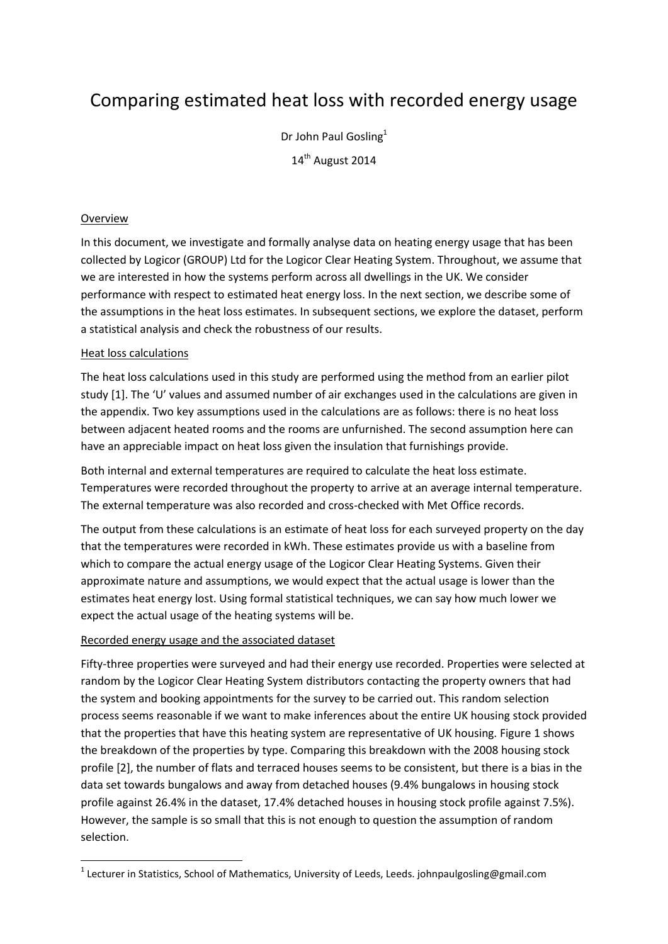# Comparing estimated heat loss with recorded energy usage

Dr John Paul Gosling<sup>1</sup> 14<sup>th</sup> August 2014

## Overview

1

In this document, we investigate and formally analyse data on heating energy usage that has been collected by Logicor (GROUP) Ltd for the Logicor Clear Heating System. Throughout, we assume that we are interested in how the systems perform across all dwellings in the UK. We consider performance with respect to estimated heat energy loss. In the next section, we describe some of the assumptions in the heat loss estimates. In subsequent sections, we explore the dataset, perform a statistical analysis and check the robustness of our results.

### Heat loss calculations

The heat loss calculations used in this study are performed using the method from an earlier pilot study [1]. The 'U' values and assumed number of air exchanges used in the calculations are given in the appendix. Two key assumptions used in the calculations are as follows: there is no heat loss between adjacent heated rooms and the rooms are unfurnished. The second assumption here can have an appreciable impact on heat loss given the insulation that furnishings provide.

Both internal and external temperatures are required to calculate the heat loss estimate. Temperatures were recorded throughout the property to arrive at an average internal temperature. The external temperature was also recorded and cross-checked with Met Office records.

The output from these calculations is an estimate of heat loss for each surveyed property on the day that the temperatures were recorded in kWh. These estimates provide us with a baseline from which to compare the actual energy usage of the Logicor Clear Heating Systems. Given their approximate nature and assumptions, we would expect that the actual usage is lower than the estimates heat energy lost. Using formal statistical techniques, we can say how much lower we expect the actual usage of the heating systems will be.

### Recorded energy usage and the associated dataset

Fifty-three properties were surveyed and had their energy use recorded. Properties were selected at random by the Logicor Clear Heating System distributors contacting the property owners that had the system and booking appointments for the survey to be carried out. This random selection process seems reasonable if we want to make inferences about the entire UK housing stock provided that the properties that have this heating system are representative of UK housing. Figure 1 shows the breakdown of the properties by type. Comparing this breakdown with the 2008 housing stock profile [2], the number of flats and terraced houses seems to be consistent, but there is a bias in the data set towards bungalows and away from detached houses (9.4% bungalows in housing stock profile against 26.4% in the dataset, 17.4% detached houses in housing stock profile against 7.5%). However, the sample is so small that this is not enough to question the assumption of random selection.

<sup>&</sup>lt;sup>1</sup> Lecturer in Statistics, School of Mathematics, University of Leeds, Leeds. johnpaulgosling@gmail.com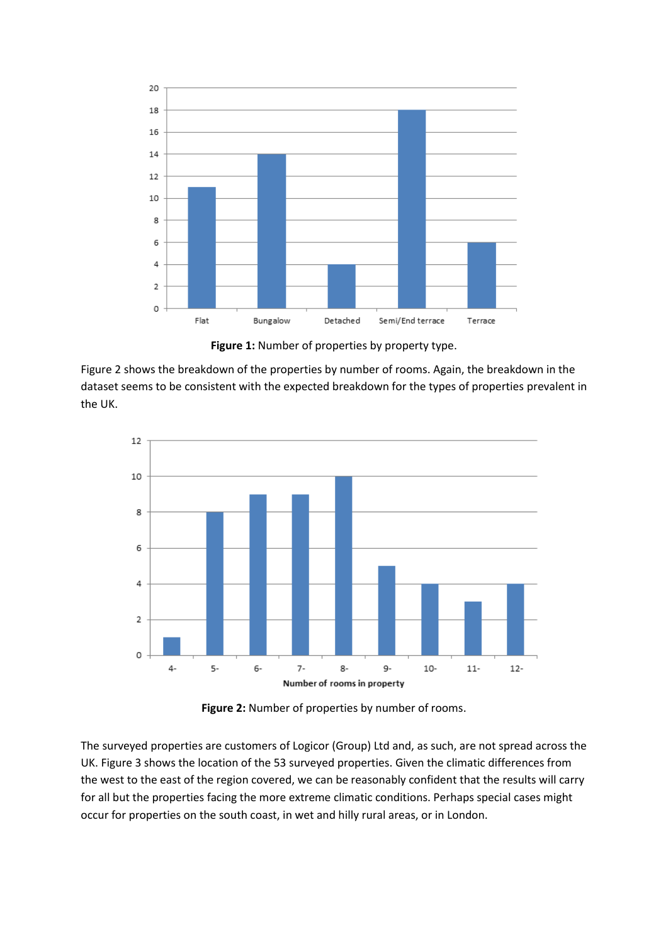

**Figure 1:** Number of properties by property type.

Figure 2 shows the breakdown of the properties by number of rooms. Again, the breakdown in the dataset seems to be consistent with the expected breakdown for the types of properties prevalent in the UK.



**Figure 2:** Number of properties by number of rooms.

The surveyed properties are customers of Logicor (Group) Ltd and, as such, are not spread across the UK. Figure 3 shows the location of the 53 surveyed properties. Given the climatic differences from the west to the east of the region covered, we can be reasonably confident that the results will carry for all but the properties facing the more extreme climatic conditions. Perhaps special cases might occur for properties on the south coast, in wet and hilly rural areas, or in London.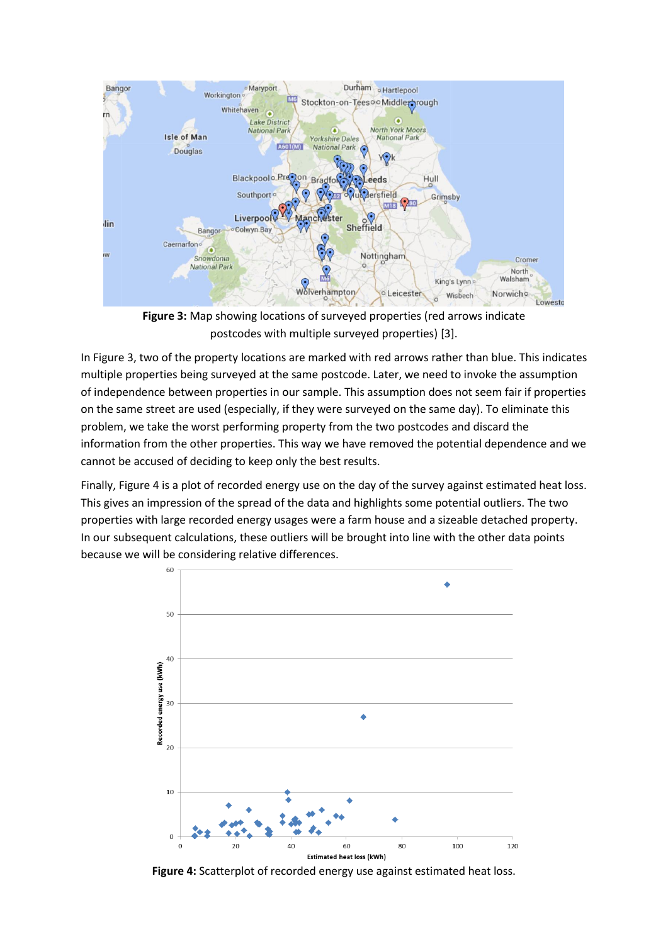

**Figure 3:** Map showing locations of surveyed properties (red arrows indicate postcodes with multiple surveyed properties) [3].

In Figure 3, two of the property locations are marked with red arrows rather than blue. This indicates multiple properties being surveyed at the same postcode. Later, we need to invoke the assumption of independence between properties in our sample. This assumption does not seem fair if properties on the same street are used (especially, if they were surveyed on the same day). To eliminate this problem, we take the worst performing property from the two postcodes and discard the information from the other properties. This way we have removed the potential dependence and we cannot be accused of deciding to keep only the best results.

Finally, Figure 4 is a plot of recorded energy use on the day of the survey against estimated heat loss. This gives an impression of the spread of the data and highlights some potential outliers. The two properties with large recorded energy usages were a farm house and a sizeable detached property. In our subsequent calculations, these outliers will be brought into line with the other data points because we will be considering relative differences.



**Figure 4:** Scatterplot of recorded energy use against estimated heat loss.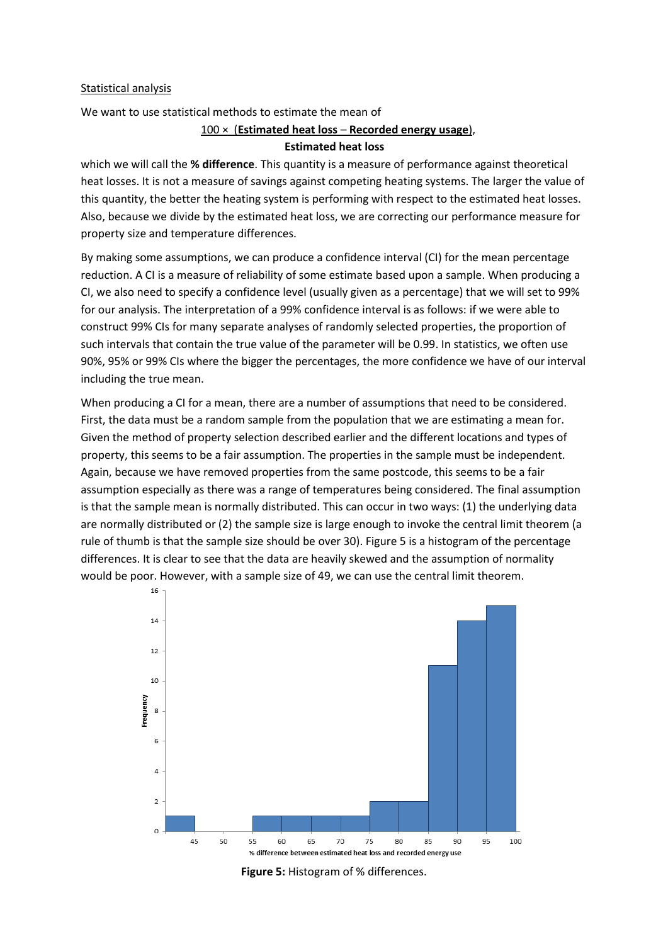#### Statistical analysis

We want to use statistical methods to estimate the mean of

#### 100 × (**Estimated heat loss** – **Recorded energy usage**),

#### **Estimated heat loss**

which we will call the **% difference**. This quantity is a measure of performance against theoretical heat losses. It is not a measure of savings against competing heating systems. The larger the value of this quantity, the better the heating system is performing with respect to the estimated heat losses. Also, because we divide by the estimated heat loss, we are correcting our performance measure for property size and temperature differences.

By making some assumptions, we can produce a confidence interval (CI) for the mean percentage reduction. A CI is a measure of reliability of some estimate based upon a sample. When producing a CI, we also need to specify a confidence level (usually given as a percentage) that we will set to 99% for our analysis. The interpretation of a 99% confidence interval is as follows: if we were able to construct 99% CIs for many separate analyses of randomly selected properties, the proportion of such intervals that contain the true value of the parameter will be 0.99. In statistics, we often use 90%, 95% or 99% CIs where the bigger the percentages, the more confidence we have of our interval including the true mean.

When producing a CI for a mean, there are a number of assumptions that need to be considered. First, the data must be a random sample from the population that we are estimating a mean for. Given the method of property selection described earlier and the different locations and types of property, this seems to be a fair assumption. The properties in the sample must be independent. Again, because we have removed properties from the same postcode, this seems to be a fair assumption especially as there was a range of temperatures being considered. The final assumption is that the sample mean is normally distributed. This can occur in two ways: (1) the underlying data are normally distributed or (2) the sample size is large enough to invoke the central limit theorem (a rule of thumb is that the sample size should be over 30). Figure 5 is a histogram of the percentage differences. It is clear to see that the data are heavily skewed and the assumption of normality would be poor. However, with a sample size of 49, we can use the central limit theorem.



**Figure 5:** Histogram of % differences.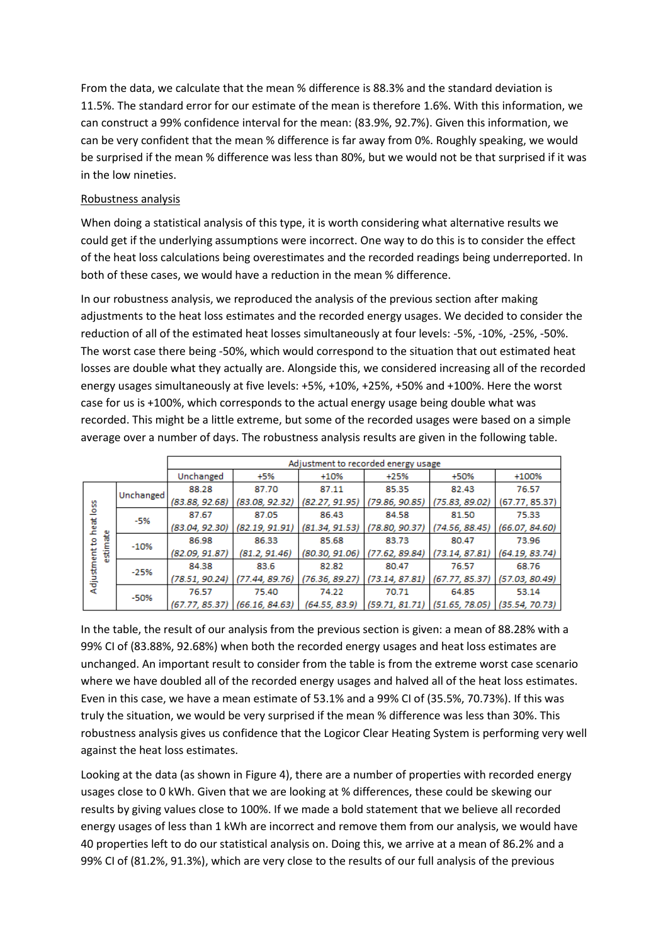From the data, we calculate that the mean % difference is 88.3% and the standard deviation is 11.5%. The standard error for our estimate of the mean is therefore 1.6%. With this information, we can construct a 99% confidence interval for the mean: (83.9%, 92.7%). Given this information, we can be very confident that the mean % difference is far away from 0%. Roughly speaking, we would be surprised if the mean % difference was less than 80%, but we would not be that surprised if it was in the low nineties.

## Robustness analysis

When doing a statistical analysis of this type, it is worth considering what alternative results we could get if the underlying assumptions were incorrect. One way to do this is to consider the effect of the heat loss calculations being overestimates and the recorded readings being underreported. In both of these cases, we would have a reduction in the mean % difference.

In our robustness analysis, we reproduced the analysis of the previous section after making adjustments to the heat loss estimates and the recorded energy usages. We decided to consider the reduction of all of the estimated heat losses simultaneously at four levels: -5%, -10%, -25%, -50%. The worst case there being -50%, which would correspond to the situation that out estimated heat losses are double what they actually are. Alongside this, we considered increasing all of the recorded energy usages simultaneously at five levels: +5%, +10%, +25%, +50% and +100%. Here the worst case for us is +100%, which corresponds to the actual energy usage being double what was recorded. This might be a little extreme, but some of the recorded usages were based on a simple average over a number of days. The robustness analysis results are given in the following table.

|                                             |           | Adjustment to recorded energy usage |                                   |                |                                   |                                                    |                |  |
|---------------------------------------------|-----------|-------------------------------------|-----------------------------------|----------------|-----------------------------------|----------------------------------------------------|----------------|--|
|                                             |           | Unchanged                           | +5%                               | +10%           | $+25%$                            | +50%                                               | +100%          |  |
| loss<br>heat<br>estimate<br>я<br>Adjustment | Unchanged | 88.28                               | 87.70                             | 87.11          | 85.35                             | 82.43                                              | 76.57          |  |
|                                             |           | (83.88, 92.68)                      | (83.08, 92.32)                    | (82.27, 91.95) | (79.86, 90.85)                    | (75.83, 89.02)                                     | (67.77, 85.37) |  |
|                                             | -5%       | 87.67                               | 87.05                             | 86.43          | 84.58                             | 81.50                                              | 75.33          |  |
|                                             |           | (83.04, 92.30)                      | (82.19, 91.91)                    | (81.34, 91.53) | $(78.80, 90.37)$ $(74.56, 88.45)$ |                                                    | (66.07, 84.60) |  |
|                                             | $-10%$    | 86.98                               | 86.33                             | 85.68          | 83.73                             | 80.47                                              | 73.96          |  |
|                                             |           | (82.09, 91.87)                      | (81.2, 91.46)                     | (80.30, 91.06) | (77.62, 89.84)                    | (73.14, 87.81)                                     | (64.19, 83.74) |  |
|                                             | $-25%$    | 84.38                               | 83.6                              | 82.82          | 80.47                             | 76.57                                              | 68.76          |  |
|                                             |           | (78.51, 90.24)                      | (77.44, 89.76)                    | (76.36, 89.27) | (73.14, 87.81)                    | (67.77, 85.37)                                     | (57.03, 80.49) |  |
|                                             | -50%      | 76.57                               | 75.40                             | 74.22          | 70.71                             | 64.85                                              | 53.14          |  |
|                                             |           |                                     | $(67.77, 85.37)$ $(66.16, 84.63)$ | (64.55, 83.9)  |                                   | $(59.71, 81.71)$ $(51.65, 78.05)$ $(35.54, 70.73)$ |                |  |

In the table, the result of our analysis from the previous section is given: a mean of 88.28% with a 99% CI of (83.88%, 92.68%) when both the recorded energy usages and heat loss estimates are unchanged. An important result to consider from the table is from the extreme worst case scenario where we have doubled all of the recorded energy usages and halved all of the heat loss estimates. Even in this case, we have a mean estimate of 53.1% and a 99% CI of (35.5%, 70.73%). If this was truly the situation, we would be very surprised if the mean % difference was less than 30%. This robustness analysis gives us confidence that the Logicor Clear Heating System is performing very well against the heat loss estimates.

Looking at the data (as shown in Figure 4), there are a number of properties with recorded energy usages close to 0 kWh. Given that we are looking at % differences, these could be skewing our results by giving values close to 100%. If we made a bold statement that we believe all recorded energy usages of less than 1 kWh are incorrect and remove them from our analysis, we would have 40 properties left to do our statistical analysis on. Doing this, we arrive at a mean of 86.2% and a 99% CI of (81.2%, 91.3%), which are very close to the results of our full analysis of the previous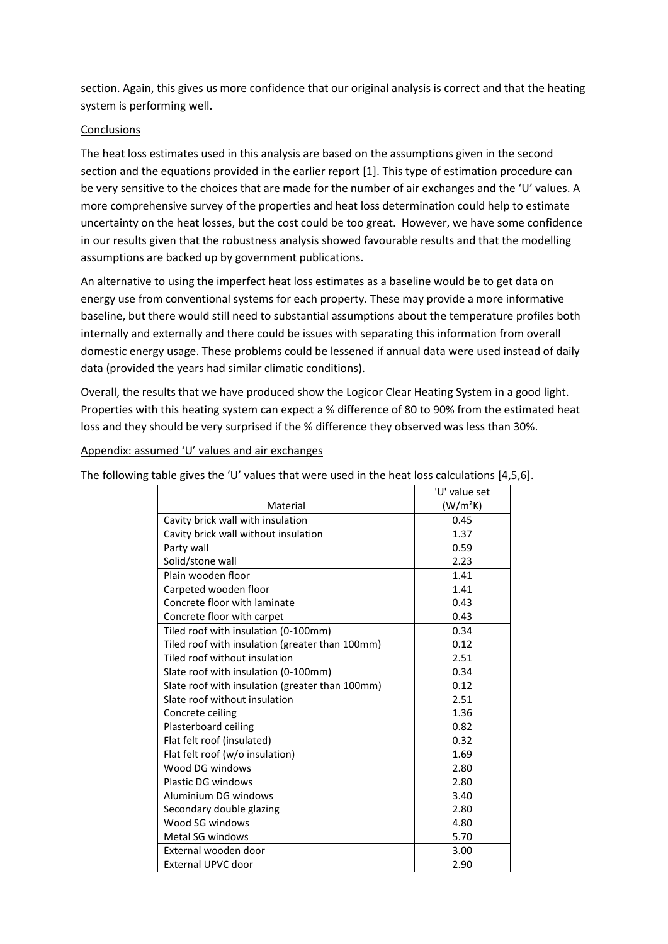section. Again, this gives us more confidence that our original analysis is correct and that the heating system is performing well.

## **Conclusions**

The heat loss estimates used in this analysis are based on the assumptions given in the second section and the equations provided in the earlier report [1]. This type of estimation procedure can be very sensitive to the choices that are made for the number of air exchanges and the 'U' values. A more comprehensive survey of the properties and heat loss determination could help to estimate uncertainty on the heat losses, but the cost could be too great. However, we have some confidence in our results given that the robustness analysis showed favourable results and that the modelling assumptions are backed up by government publications.

An alternative to using the imperfect heat loss estimates as a baseline would be to get data on energy use from conventional systems for each property. These may provide a more informative baseline, but there would still need to substantial assumptions about the temperature profiles both internally and externally and there could be issues with separating this information from overall domestic energy usage. These problems could be lessened if annual data were used instead of daily data (provided the years had similar climatic conditions).

Overall, the results that we have produced show the Logicor Clear Heating System in a good light. Properties with this heating system can expect a % difference of 80 to 90% from the estimated heat loss and they should be very surprised if the % difference they observed was less than 30%.

Appendix: assumed 'U' values and air exchanges

The following table gives the 'U' values that were used in the heat loss calculations [4,5,6].

|                                                 | 'U' value set        |  |
|-------------------------------------------------|----------------------|--|
| Material                                        | (W/m <sup>2</sup> K) |  |
| Cavity brick wall with insulation               | 0.45                 |  |
| Cavity brick wall without insulation            | 1.37                 |  |
| Party wall                                      | 0.59                 |  |
| Solid/stone wall                                | 2.23                 |  |
| Plain wooden floor                              | 1.41                 |  |
| Carpeted wooden floor                           | 1.41                 |  |
| Concrete floor with laminate                    | 0.43                 |  |
| Concrete floor with carpet                      | 0.43                 |  |
| Tiled roof with insulation (0-100mm)            | 0.34                 |  |
| Tiled roof with insulation (greater than 100mm) | 0.12                 |  |
| Tiled roof without insulation                   | 2.51                 |  |
| Slate roof with insulation (0-100mm)            | 0.34                 |  |
| Slate roof with insulation (greater than 100mm) | 0.12                 |  |
| Slate roof without insulation                   | 2.51                 |  |
| Concrete ceiling                                | 1.36                 |  |
| Plasterboard ceiling                            | 0.82                 |  |
| Flat felt roof (insulated)                      | 0.32                 |  |
| Flat felt roof (w/o insulation)                 | 1.69                 |  |
| Wood DG windows                                 | 2.80                 |  |
| Plastic DG windows                              | 2.80                 |  |
| Aluminium DG windows                            | 3.40                 |  |
| Secondary double glazing                        | 2.80                 |  |
| Wood SG windows                                 | 4.80                 |  |
| <b>Metal SG windows</b>                         | 5.70                 |  |
| External wooden door                            | 3.00                 |  |
| External UPVC door                              | 2.90                 |  |